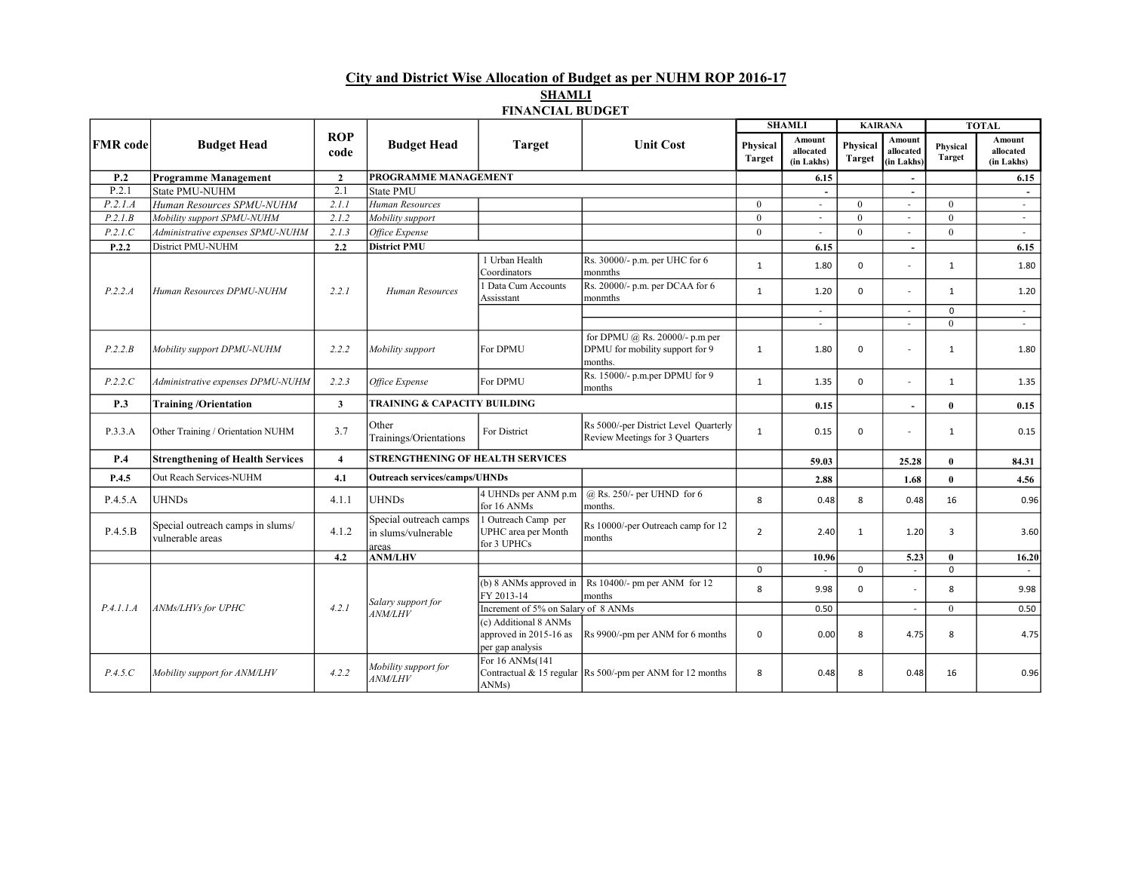City and District Wise Allocation of Budget as per NUHM ROP 2016-17 **SHAMLI** 

### FINANCIAL BUDGET

| <b>FMR</b> code | <b>Budget Head</b>                                   | <b>ROP</b><br>code |                                                        |                                                                     |                                                                              | <b>SHAMLI</b>             |                                   | <b>KAIRANA</b>     |                                   | <b>TOTAL</b>              |                                          |
|-----------------|------------------------------------------------------|--------------------|--------------------------------------------------------|---------------------------------------------------------------------|------------------------------------------------------------------------------|---------------------------|-----------------------------------|--------------------|-----------------------------------|---------------------------|------------------------------------------|
|                 |                                                      |                    | <b>Budget Head</b>                                     | <b>Target</b>                                                       | <b>Unit Cost</b>                                                             | Physical<br><b>Target</b> | Amount<br>allocated<br>(in Lakhs) | Physical<br>Target | Amount<br>allocated<br>(in Lakhs) | Physical<br><b>Target</b> | <b>Amount</b><br>allocated<br>(in Lakhs) |
| P.2             | <b>Programme Management</b>                          | $\overline{2}$     | <b>PROGRAMME MANAGEMENT</b>                            |                                                                     |                                                                              |                           | 6.15                              |                    |                                   |                           | 6.15                                     |
| P.2.1           | State PMU-NUHM                                       | 2.1                | State PMU                                              |                                                                     |                                                                              |                           |                                   |                    | $\overline{\phantom{a}}$          |                           | $\sim$                                   |
| P.2.1.A         | Human Resources SPMU-NUHM                            | 2.1.1              | Human Resources                                        |                                                                     |                                                                              | $\theta$                  | $\sim$                            | $\theta$           | $\sim$                            | $\theta$                  | $\sim$                                   |
| P.2.1.B         | Mobility support SPMU-NUHM                           | 2.1.2              | Mobility support                                       |                                                                     |                                                                              | $\theta$                  | $\sim$                            | $\theta$           | $\sim$                            | $\theta$                  | $\sim$                                   |
| P.2.1.C         | Administrative expenses SPMU-NUHM                    | 2.1.3              | Office Expense                                         |                                                                     |                                                                              | $\theta$                  | $\sim$                            | $\theta$           | $\sim$                            | $\theta$                  | $\sim$                                   |
| P.2.2           | District PMU-NUHM                                    | 2.2                | <b>District PMU</b>                                    |                                                                     |                                                                              |                           | 6.15                              |                    | $\sim$                            |                           | 6.15                                     |
|                 | Human Resources DPMU-NUHM                            | 2.2.1              | Human Resources                                        | 1 Urban Health<br>Coordinators                                      | Rs. 30000/- p.m. per UHC for 6<br>monmths                                    | $\mathbf{1}$              | 1.80                              | 0                  |                                   | 1                         | 1.80                                     |
| P.2.2.A         |                                                      |                    |                                                        | 1 Data Cum Accounts<br>Assisstant                                   | Rs. 20000/- p.m. per DCAA for 6<br>monmths                                   | $\mathbf{1}$              | 1.20                              | 0                  | $\sim$                            | $\mathbf{1}$              | 1.20                                     |
|                 |                                                      |                    |                                                        |                                                                     |                                                                              |                           | $\sim$                            |                    | $\sim$                            | $\mathbf 0$               | $\sim$                                   |
|                 |                                                      |                    |                                                        |                                                                     |                                                                              |                           |                                   |                    | $\sim$                            | $\Omega$                  |                                          |
| P.2.2.B         | Mobility support DPMU-NUHM                           | 2.2.2              | Mobility support                                       | For DPMU                                                            | for DPMU @ Rs. 20000/- p.m per<br>DPMU for mobility support for 9<br>months. | 1                         | 1.80                              | 0                  | $\sim$                            | $\mathbf{1}$              | 1.80                                     |
| P.2.2.C         | Administrative expenses DPMU-NUHM                    | 2.2.3              | Office Expense                                         | For DPMU                                                            | Rs. 15000/- p.m.per DPMU for 9<br>months                                     | $\mathbf{1}$              | 1.35                              | 0                  | $\sim$                            | $\mathbf{1}$              | 1.35                                     |
| P.3             | <b>Training/Orientation</b>                          | $\mathbf{3}$       | <b>TRAINING &amp; CAPACITY BUILDING</b>                |                                                                     |                                                                              |                           | 0.15                              |                    | $\sim$                            | $\theta$                  | 0.15                                     |
| P.3.3.A         | Other Training / Orientation NUHM                    | 3.7                | Other<br>Trainings/Orientations                        | For District                                                        | Rs 5000/-per District Level Quarterly<br>Review Meetings for 3 Quarters      | $\mathbf{1}$              | 0.15                              | 0                  | $\sim$                            | $\mathbf{1}$              | 0.15                                     |
| P.4             | <b>Strengthening of Health Services</b>              | $\overline{4}$     | <b>STRENGTHENING OF HEALTH SERVICES</b>                |                                                                     |                                                                              |                           | 59.03                             |                    | 25.28                             | $\theta$                  | 84.31                                    |
| P.4.5           | Out Reach Services-NUHM                              | 4.1                | <b>Outreach services/camps/UHNDs</b>                   |                                                                     |                                                                              |                           | 2.88                              |                    | 1.68                              | $\theta$                  | 4.56                                     |
| P.4.5.A         | <b>UHNDs</b>                                         | 4.1.1              | <b>UHNDs</b>                                           | 4 UHNDs per ANM p.m<br>for 16 ANMs                                  | $@$ Rs. 250/- per UHND for 6<br>months.                                      | 8                         | 0.48                              | 8                  | 0.48                              | 16                        | 0.96                                     |
| P.4.5.B         | Special outreach camps in slums/<br>vulnerable areas | 4.1.2              | Special outreach camps<br>in slums/vulnerable<br>areas | 1 Outreach Camp per<br>UPHC area per Month<br>for 3 UPHCs           | Rs 10000/-per Outreach camp for 12<br>months                                 | $\overline{2}$            | 2.40                              | $\mathbf{1}$       | 1.20                              | 3                         | 3.60                                     |
|                 |                                                      | 4.2                | <b>ANM/LHV</b>                                         |                                                                     |                                                                              |                           | 10.96                             |                    | 5.23                              | $\mathbf{0}$              | 16.20                                    |
|                 | ANMs/LHVs for UPHC                                   | 4.2.1              | Salary support for<br><b>ANM/LHV</b>                   |                                                                     |                                                                              | $\mathbf 0$               |                                   | $\Omega$           | $\sim$                            | $\mathbf 0$               |                                          |
| P.4.1.1.A       |                                                      |                    |                                                        | FY 2013-14                                                          | (b) 8 ANMs approved in $\vert$ Rs 10400/- pm per ANM for 12<br>months        | 8                         | 9.98                              | 0                  |                                   | 8                         | 9.98                                     |
|                 |                                                      |                    |                                                        | Increment of 5% on Salary of 8 ANMs                                 |                                                                              |                           | 0.50                              |                    | $\sim$                            | $\theta$                  | 0.50                                     |
|                 |                                                      |                    |                                                        | (c) Additional 8 ANMs<br>approved in 2015-16 as<br>per gap analysis | Rs 9900/-pm per ANM for 6 months                                             | 0                         | 0.00                              | 8                  | 4.75                              | 8                         | 4.75                                     |
| P.4.5.C         | Mobility support for ANM/LHV                         | 4.2.2              | Mobility support for<br><b>ANM/LHV</b>                 | For 16 ANMs(141<br>ANMs)                                            | Contractual & 15 regular Rs 500/-pm per ANM for 12 months                    | 8                         | 0.48                              | 8                  | 0.48                              | 16                        | 0.96                                     |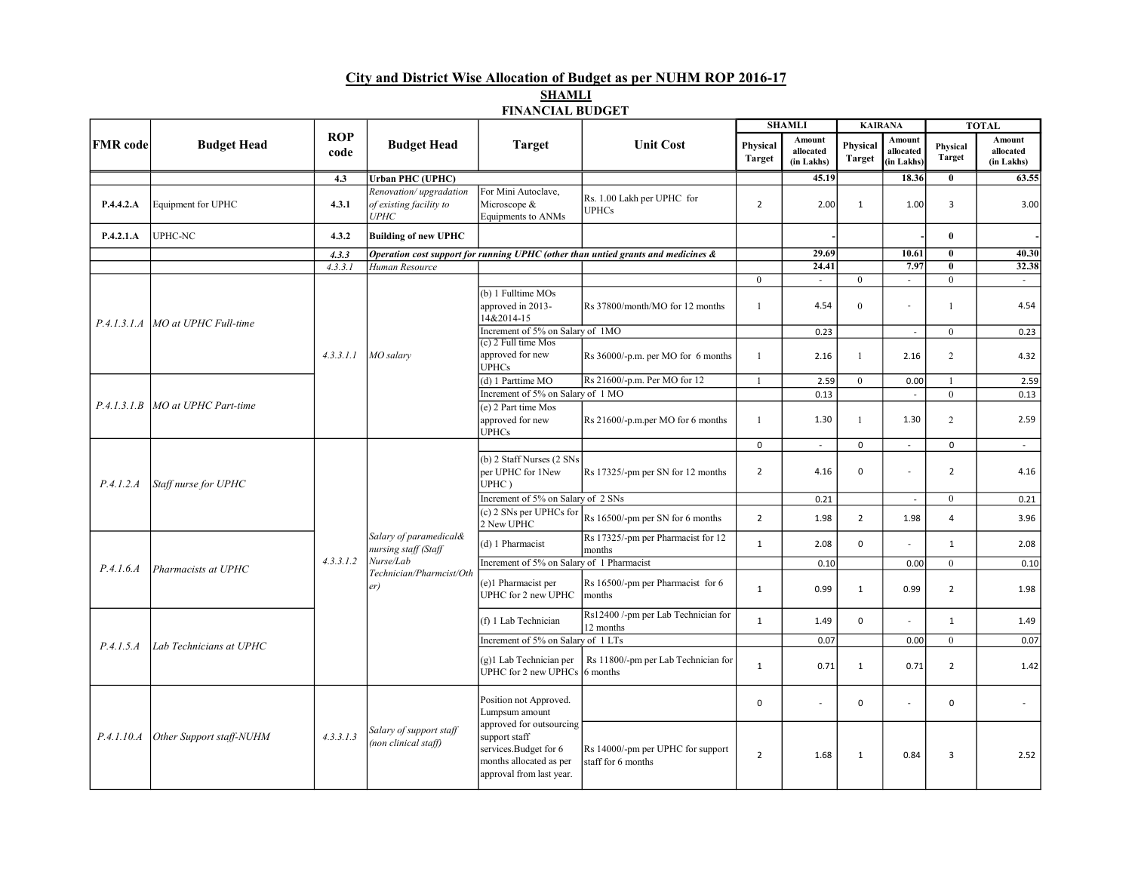## City and District Wise Allocation of Budget as per NUHM ROP 2016-17 **SHAMLI**

### FINANCIAL BUDGET

|                 | <b>Budget Head</b>                  | <b>ROP</b><br>code | <b>Budget Head</b>                                                                             | <b>Target</b>                                                                                                             | <b>Unit Cost</b>                                                                  | <b>SHAMLI</b>                |                                   | <b>KAIRANA</b>             |                                   | <b>TOTAL</b>              |                                          |
|-----------------|-------------------------------------|--------------------|------------------------------------------------------------------------------------------------|---------------------------------------------------------------------------------------------------------------------------|-----------------------------------------------------------------------------------|------------------------------|-----------------------------------|----------------------------|-----------------------------------|---------------------------|------------------------------------------|
| <b>FMR</b> code |                                     |                    |                                                                                                |                                                                                                                           |                                                                                   | Physical<br><b>Target</b>    | Amount<br>allocated<br>(in Lakhs) | Physical<br><b>Target</b>  | Amount<br>allocated<br>(in Lakhs) | Physical<br><b>Target</b> | <b>Amount</b><br>allocated<br>(in Lakhs) |
|                 |                                     | 4.3                | <b>Urban PHC (UPHC)</b>                                                                        |                                                                                                                           |                                                                                   |                              | 45.19                             |                            | 18.36                             | $\bf{0}$                  | 63.55                                    |
| P.4.4.2.A       | Equipment for UPHC                  | 4.3.1              | Renovation/upgradation<br>of existing facility to<br><b>UPHC</b>                               | For Mini Autoclave,<br>Microscope &<br>Equipments to ANMs                                                                 | Rs. 1.00 Lakh per UPHC for<br><b>UPHCs</b>                                        | $\overline{2}$               | 2.00                              | $\mathbf{1}$               | 1.00                              | 3                         | 3.00                                     |
| P.4.2.1.A       | <b>UPHC-NC</b>                      | 4.3.2              | <b>Building of new UPHC</b>                                                                    |                                                                                                                           |                                                                                   |                              |                                   |                            |                                   | $\theta$                  |                                          |
|                 |                                     | 4.3.3              |                                                                                                |                                                                                                                           | Operation cost support for running UPHC (other than untied grants and medicines & |                              | 29.69                             |                            | 10.61                             | $\theta$                  | 40.30                                    |
|                 |                                     | 4.3.3.1            | Human Resource                                                                                 |                                                                                                                           |                                                                                   |                              | 24.41                             |                            | 7.97                              | $\theta$                  | 32.38                                    |
|                 | P.4.1.3.1.A   MO at UPHC Full-time  |                    | MO salary                                                                                      | (b) 1 Fulltime MOs<br>approved in 2013-<br>14&2014-15                                                                     | Rs 37800/month/MO for 12 months                                                   | $\mathbf{0}$<br>$\mathbf{1}$ | $\sim$<br>4.54                    | $\theta$<br>$\overline{0}$ | $\sim$                            | $\theta$<br>$\mathbf{1}$  | $\sim$<br>4.54                           |
|                 |                                     |                    |                                                                                                | Increment of 5% on Salary of 1MO                                                                                          |                                                                                   |                              | 0.23                              |                            | $\sim$                            | $\boldsymbol{0}$          | 0.23                                     |
|                 |                                     | 4.3.3.1.1          |                                                                                                | $(c)$ 2 Full time Mos<br>approved for new<br><b>UPHCs</b>                                                                 | Rs 36000/-p.m. per MO for 6 months                                                | $\mathbf{1}$                 | 2.16                              | $\mathbf{1}$               | 2.16                              | $\overline{2}$            | 4.32                                     |
|                 |                                     |                    |                                                                                                | (d) 1 Parttime MO                                                                                                         | Rs 21600/-p.m. Per MO for 12                                                      | $\mathbf{1}$                 | 2.59                              | $\theta$                   | 0.00                              | 1                         | 2.59                                     |
|                 |                                     |                    |                                                                                                | Increment of 5% on Salary of 1 MO                                                                                         |                                                                                   |                              | 0.13                              |                            | $\mathbf{r}$                      | $\theta$                  | 0.13                                     |
|                 | P.4.1.3.1.B MO at UPHC Part-time    |                    |                                                                                                | (e) 2 Part time Mos<br>approved for new<br><b>UPHCs</b>                                                                   | Rs 21600/-p.m.per MO for 6 months                                                 | 1                            | 1.30                              | 1                          | 1.30                              | $\overline{c}$            | 2.59                                     |
|                 |                                     |                    |                                                                                                |                                                                                                                           |                                                                                   | $\mathbf 0$                  | $\sim$                            | 0                          | $\mathcal{L}$                     | $\mathbf 0$               | $\sim$                                   |
| P.4.1.2.A       | Staff nurse for UPHC                | 4.3.3.1.2          | Salary of paramedical&<br>nursing staff (Staff<br>Nurse/Lab<br>Technician/Pharmcist/Oth<br>er) | (b) 2 Staff Nurses (2 SNs<br>per UPHC for 1New<br>UPHC)                                                                   | Rs 17325/-pm per SN for 12 months                                                 | $\overline{2}$               | 4.16                              | 0                          | $\sim$                            | $\overline{2}$            | 4.16                                     |
|                 |                                     |                    |                                                                                                | Increment of 5% on Salary of 2 SNs                                                                                        |                                                                                   |                              | 0.21                              |                            | $\overline{\phantom{a}}$          | $\mathbf{0}$              | 0.21                                     |
|                 |                                     |                    |                                                                                                | (c) 2 SNs per UPHCs for<br>2 New UPHC                                                                                     | Rs 16500/-pm per SN for 6 months                                                  | $\overline{2}$               | 1.98                              | $\overline{2}$             | 1.98                              | $\overline{4}$            | 3.96                                     |
| P.4.1.6.4       | Pharmacists at UPHC                 |                    |                                                                                                | (d) 1 Pharmacist                                                                                                          | Rs 17325/-pm per Pharmacist for 12<br>months                                      | $\mathbf{1}$                 | 2.08                              | 0                          |                                   | $\mathbf{1}$              | 2.08                                     |
|                 |                                     |                    |                                                                                                | Increment of 5% on Salary of 1 Pharmacist                                                                                 |                                                                                   |                              | 0.10                              |                            | 0.00                              | $\boldsymbol{0}$          | 0.10                                     |
|                 |                                     |                    |                                                                                                | (e)1 Pharmacist per<br>UPHC for 2 new UPHC                                                                                | Rs 16500/-pm per Pharmacist for 6<br>months                                       | $\mathbf 1$                  | 0.99                              | $\mathbf{1}$               | 0.99                              | $\overline{2}$            | 1.98                                     |
| P.4.1.5.A       | Lab Technicians at UPHC             |                    |                                                                                                | (f) 1 Lab Technician                                                                                                      | Rs12400 /-pm per Lab Technician for<br>12 months                                  | $\mathbf{1}$                 | 1.49                              | $\Omega$                   |                                   | $\mathbf{1}$              | 1.49                                     |
|                 |                                     |                    |                                                                                                | Increment of 5% on Salary of 1 LTs                                                                                        |                                                                                   |                              | 0.07                              |                            | 0.00                              | $\mathbf{0}$              | 0.07                                     |
|                 |                                     |                    |                                                                                                | (g)1 Lab Technician per<br><b>UPHC</b> for 2 new UPHCs                                                                    | Rs 11800/-pm per Lab Technician for<br>6 months                                   | $\mathbf{1}$                 | 0.71                              | $\mathbf{1}$               | 0.71                              | $\overline{2}$            | 1.42                                     |
|                 | P.4.1.10.A Other Support staff-NUHM | 4.3.3.1.3          | Salary of support staff<br>(non clinical staff)                                                | Position not Approved.<br>Lumpsum amount                                                                                  |                                                                                   | $\mathbf 0$                  | $\overline{a}$                    | 0                          | $\sim$                            | $\mathbf 0$               | $\sim$                                   |
|                 |                                     |                    |                                                                                                | approved for outsourcing<br>support staff<br>services.Budget for 6<br>months allocated as per<br>approval from last year. | Rs 14000/-pm per UPHC for support<br>staff for 6 months                           | $\overline{2}$               | 1.68                              | $\mathbf{1}$               | 0.84                              | 3                         | 2.52                                     |